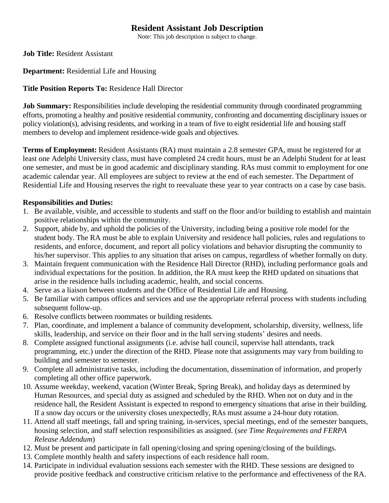# **Resident Assistant Job Description**

Note: This job description is subject to change.

**Job Title:** Resident Assistant

### **Department:** Residential Life and Housing

### **Title Position Reports To:** Residence Hall Director

**Job Summary:** Responsibilities include developing the residential community through coordinated programming efforts, promoting a healthy and positive residential community, confronting and documenting disciplinary issues or policy violation(s), advising residents, and working in a team of five to eight residential life and housing staff members to develop and implement residence-wide goals and objectives.

**Terms of Employment:** Resident Assistants (RA) must maintain a 2.8 semester GPA, must be registered for at least one Adelphi University class, must have completed 24 credit hours, must be an Adelphi Student for at least one semester, and must be in good academic and disciplinary standing. RAs must commit to employment for one academic calendar year. All employees are subject to review at the end of each semester. The Department of Residential Life and Housing reserves the right to reevaluate these year to year contracts on a case by case basis.

### **Responsibilities and Duties:**

- 1. Be available, visible, and accessible to students and staff on the floor and/or building to establish and maintain positive relationships within the community.
- 2. Support, abide by, and uphold the policies of the University, including being a positive role model for the student body. The RA must be able to explain University and residence hall policies, rules and regulations to residents, and enforce, document, and report all policy violations and behavior disrupting the community to his/her supervisor. This applies to any situation that arises on campus, regardless of whether formally on duty.
- 3. Maintain frequent communication with the Residence Hall Director (RHD), including performance goals and individual expectations for the position. In addition, the RA must keep the RHD updated on situations that arise in the residence halls including academic, health, and social concerns.
- 4. Serve as a liaison between students and the Office of Residential Life and Housing.
- 5. Be familiar with campus offices and services and use the appropriate referral process with students including subsequent follow-up.
- 6. Resolve conflicts between roommates or building residents.
- 7. Plan, coordinate, and implement a balance of community development, scholarship, diversity, wellness, life skills, leadership, and service on their floor and in the hall serving students' desires and needs.
- 8. Complete assigned functional assignments (i.e. advise hall council, supervise hall attendants, track programming, etc.) under the direction of the RHD. Please note that assignments may vary from building to building and semester to semester.
- 9. Complete all administrative tasks, including the documentation, dissemination of information, and properly completing all other office paperwork.
- 10. Assume weekday, weekend, vacation (Winter Break, Spring Break), and holiday days as determined by Human Resources, and special duty as assigned and scheduled by the RHD. When not on duty and in the residence hall, the Resident Assistant is expected to respond to emergency situations that arise in their building. If a snow day occurs or the university closes unexpectedly, RAs must assume a 24-hour duty rotation.
- 11. Attend all staff meetings, fall and spring training, in-services, special meetings, end of the semester banquets, housing selection, and staff selection responsibilities as assigned. (*see Time Requirements and FERPA Release Addendum*)
- 12. Must be present and participate in fall opening/closing and spring opening/closing of the buildings.
- 13. Complete monthly health and safety inspections of each residence hall room.
- 14. Participate in individual evaluation sessions each semester with the RHD. These sessions are designed to provide positive feedback and constructive criticism relative to the performance and effectiveness of the RA.